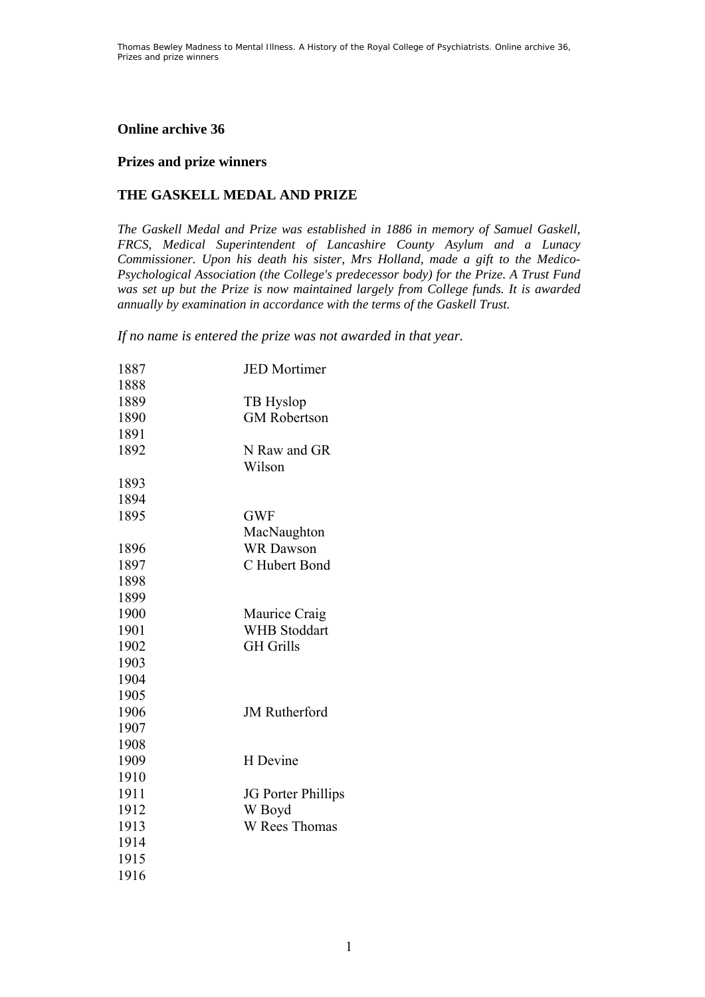# **Online archive 36**

### **Prizes and prize winners**

# **THE GASKELL MEDAL AND PRIZE**

*The Gaskell Medal and Prize was established in 1886 in memory of Samuel Gaskell, FRCS, Medical Superintendent of Lancashire County Asylum and a Lunacy Commissioner. Upon his death his sister, Mrs Holland, made a gift to the Medico-Psychological Association (the College's predecessor body) for the Prize. A Trust Fund was set up but the Prize is now maintained largely from College funds. It is awarded annually by examination in accordance with the terms of the Gaskell Trust.* 

*If no name is entered the prize was not awarded in that year.* 

| 1887 | <b>JED</b> Mortimer  |
|------|----------------------|
| 1888 |                      |
| 1889 | TB Hyslop            |
| 1890 | <b>GM Robertson</b>  |
| 1891 |                      |
| 1892 | N Raw and GR         |
|      | Wilson               |
| 1893 |                      |
| 1894 |                      |
| 1895 | <b>GWF</b>           |
|      | MacNaughton          |
| 1896 | <b>WR</b> Dawson     |
| 1897 | C Hubert Bond        |
| 1898 |                      |
| 1899 |                      |
| 1900 | Maurice Craig        |
| 1901 | <b>WHB</b> Stoddart  |
| 1902 | <b>GH</b> Grills     |
| 1903 |                      |
| 1904 |                      |
| 1905 |                      |
| 1906 | <b>JM</b> Rutherford |
| 1907 |                      |
| 1908 |                      |
| 1909 | H Devine             |
| 1910 |                      |
| 1911 | JG Porter Phillips   |
| 1912 | W Boyd               |
| 1913 | W Rees Thomas        |
| 1914 |                      |
| 1915 |                      |
| 1916 |                      |
|      |                      |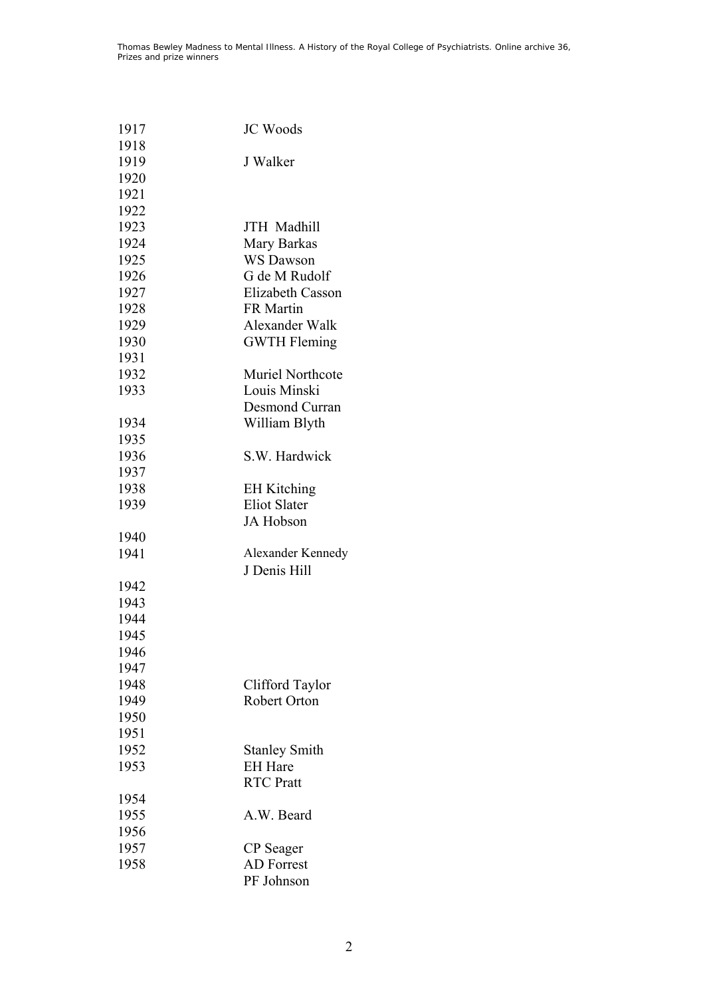| 1917 | <b>JC</b> Woods         |
|------|-------------------------|
| 1918 |                         |
| 1919 | J Walker                |
| 1920 |                         |
| 1921 |                         |
| 1922 |                         |
| 1923 | JTH Madhill             |
| 1924 | Mary Barkas             |
| 1925 | <b>WS Dawson</b>        |
| 1926 | G de M Rudolf           |
| 1927 | Elizabeth Casson        |
| 1928 | <b>FR</b> Martin        |
| 1929 | Alexander Walk          |
| 1930 | <b>GWTH Fleming</b>     |
| 1931 |                         |
| 1932 | <b>Muriel Northcote</b> |
| 1933 | Louis Minski            |
|      | Desmond Curran          |
| 1934 | William Blyth           |
| 1935 |                         |
| 1936 | S.W. Hardwick           |
| 1937 |                         |
| 1938 | <b>EH</b> Kitching      |
| 1939 | <b>Eliot Slater</b>     |
|      | JA Hobson               |
| 1940 |                         |
| 1941 | Alexander Kennedy       |
|      | J Denis Hill            |
| 1942 |                         |
| 1943 |                         |
| 1944 |                         |
| 1945 |                         |
| 1946 |                         |
| 1947 |                         |
| 1948 | Clifford Taylor         |
| 1949 | <b>Robert Orton</b>     |
| 1950 |                         |
| 1951 |                         |
| 1952 | <b>Stanley Smith</b>    |
| 1953 | <b>EH</b> Hare          |
|      | <b>RTC</b> Pratt        |
| 1954 |                         |
| 1955 | A.W. Beard              |
| 1956 |                         |
| 1957 | CP Seager               |
| 1958 | <b>AD</b> Forrest       |
|      | PF Johnson              |
|      |                         |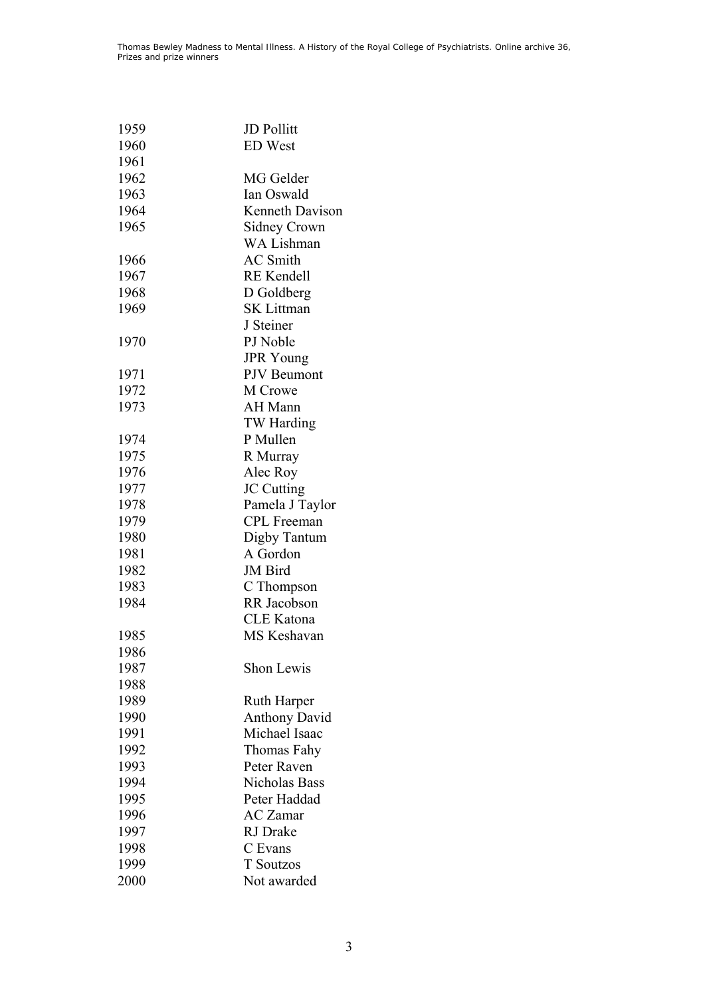| 1959 | <b>JD Pollitt</b>    |
|------|----------------------|
| 1960 | <b>ED</b> West       |
| 1961 |                      |
| 1962 | MG Gelder            |
| 1963 | Ian Oswald           |
| 1964 | Kenneth Davison      |
| 1965 | <b>Sidney Crown</b>  |
|      | <b>WA Lishman</b>    |
| 1966 | <b>AC</b> Smith      |
| 1967 | <b>RE</b> Kendell    |
| 1968 | D Goldberg           |
|      |                      |
| 1969 | <b>SK Littman</b>    |
|      | J Steiner            |
| 1970 | PJ Noble             |
|      | <b>JPR</b> Young     |
| 1971 | PJV Beumont          |
| 1972 | M Crowe              |
| 1973 | AH Mann              |
|      | TW Harding           |
| 1974 | P Mullen             |
| 1975 | R Murray             |
| 1976 | Alec Roy             |
| 1977 | <b>JC</b> Cutting    |
| 1978 | Pamela J Taylor      |
| 1979 | <b>CPL</b> Freeman   |
| 1980 | Digby Tantum         |
| 1981 | A Gordon             |
| 1982 | JM Bird              |
| 1983 | C Thompson           |
| 1984 | RR Jacobson          |
|      | <b>CLE</b> Katona    |
| 1985 | <b>MS</b> Keshavan   |
| 1986 |                      |
| 1987 | Shon Lewis           |
| 1988 |                      |
| 1989 | <b>Ruth Harper</b>   |
| 1990 | <b>Anthony David</b> |
| 1991 | Michael Isaac        |
| 1992 | Thomas Fahy          |
| 1993 | Peter Raven          |
| 1994 | Nicholas Bass        |
| 1995 | Peter Haddad         |
| 1996 | <b>AC</b> Zamar      |
| 1997 | RJ Drake             |
| 1998 | C Evans              |
| 1999 | <b>T</b> Soutzos     |
|      |                      |
| 2000 | Not awarded          |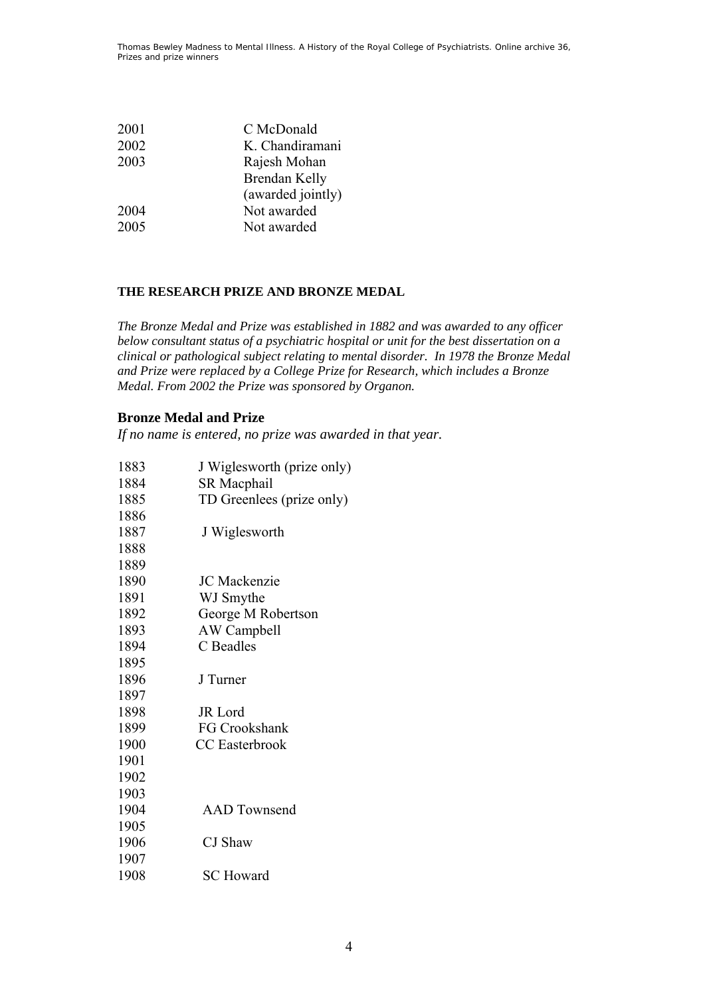| 2001 | C McDonald        |
|------|-------------------|
| 2002 | K. Chandiramani   |
| 2003 | Rajesh Mohan      |
|      | Brendan Kelly     |
|      | (awarded jointly) |
| 2004 | Not awarded       |
| 2005 | Not awarded       |
|      |                   |

#### **THE RESEARCH PRIZE AND BRONZE MEDAL**

*The Bronze Medal and Prize was established in 1882 and was awarded to any officer below consultant status of a psychiatric hospital or unit for the best dissertation on a clinical or pathological subject relating to mental disorder. In 1978 the Bronze Medal and Prize were replaced by a College Prize for Research, which includes a Bronze Medal. From 2002 the Prize was sponsored by Organon.* 

### **Bronze Medal and Prize**

*If no name is entered, no prize was awarded in that year.* 

| 1883 | J Wiglesworth (prize only) |
|------|----------------------------|
| 1884 | <b>SR</b> Macphail         |
| 1885 | TD Greenlees (prize only)  |
| 1886 |                            |
| 1887 | J Wiglesworth              |
| 1888 |                            |
| 1889 |                            |
| 1890 | <b>JC</b> Mackenzie        |
| 1891 | WJ Smythe                  |
| 1892 | George M Robertson         |
| 1893 | AW Campbell                |
| 1894 | C Beadles                  |
| 1895 |                            |
| 1896 | J Turner                   |
| 1897 |                            |
| 1898 | <b>JR</b> Lord             |
| 1899 | FG Crookshank              |
| 1900 | <b>CC</b> Easterbrook      |
| 1901 |                            |
| 1902 |                            |
| 1903 |                            |
| 1904 | <b>AAD</b> Townsend        |
| 1905 |                            |
| 1906 | CJ Shaw                    |
| 1907 |                            |
| 1908 | <b>SC</b> Howard           |
|      |                            |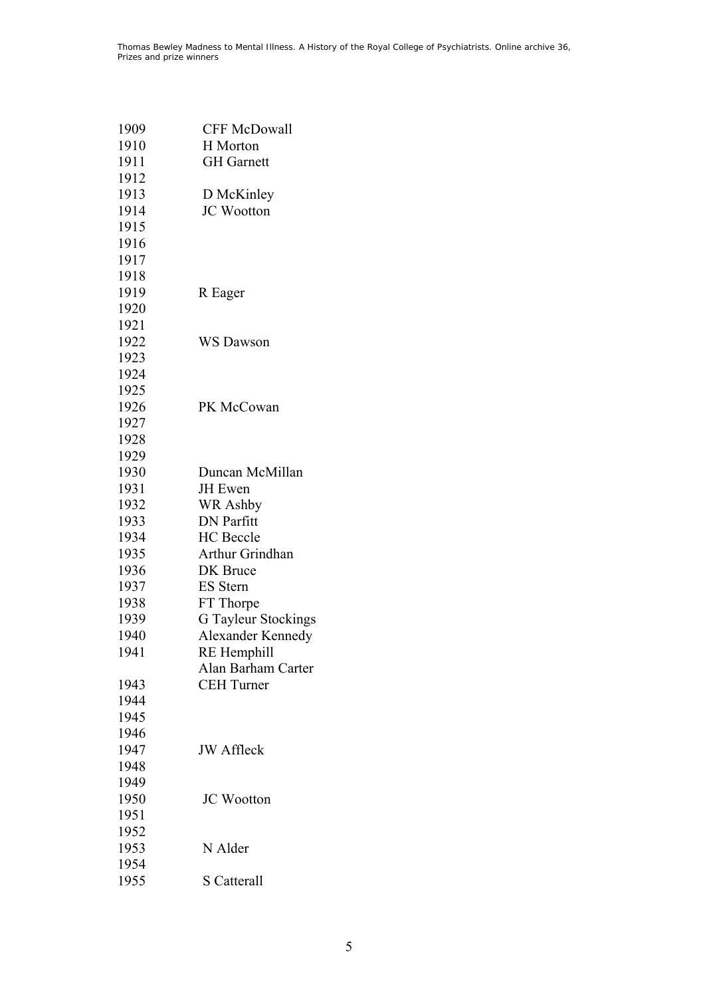| 1909         | <b>CFF McDowall</b>               |
|--------------|-----------------------------------|
| 1910         | H Morton                          |
| 1911         | <b>GH</b> Garnett                 |
| 1912         |                                   |
| 1913         | D McKinley                        |
| 1914         | JC Wootton                        |
| 1915         |                                   |
| 1916         |                                   |
| 1917         |                                   |
| 1918         |                                   |
| 1919         | R Eager                           |
| 1920         |                                   |
| 1921         |                                   |
| 1922         | <b>WS Dawson</b>                  |
| 1923         |                                   |
| 1924         |                                   |
| 1925         |                                   |
| 1926         | PK McCowan                        |
| 1927         |                                   |
| 1928         |                                   |
| 1929         |                                   |
| 1930         | Duncan McMillan                   |
| 1931         | <b>JH</b> Ewen                    |
| 1932         | WR Ashby                          |
| 1933         | <b>DN</b> Parfitt                 |
| 1934         | <b>HC</b> Beccle                  |
| 1935         | Arthur Grindhan                   |
| 1936         | <b>DK</b> Bruce                   |
| 1937         | <b>ES</b> Stern                   |
| 1938         | FT Thorpe                         |
| 1939         | <b>G</b> Tayleur Stockings        |
| 1940<br>1941 | Alexander Kennedy                 |
|              | RE Hemphill<br>Alan Barham Carter |
| 1943         | <b>CEH</b> Turner                 |
| 1944         |                                   |
| 1945         |                                   |
| 1946         |                                   |
| 1947         | <b>JW</b> Affleck                 |
| 1948         |                                   |
| 1949         |                                   |
| 1950         | <b>JC</b> Wootton                 |
| 1951         |                                   |
| 1952         |                                   |
| 1953         | N Alder                           |
| 1954         |                                   |
| 1955         | <b>S</b> Catterall                |
|              |                                   |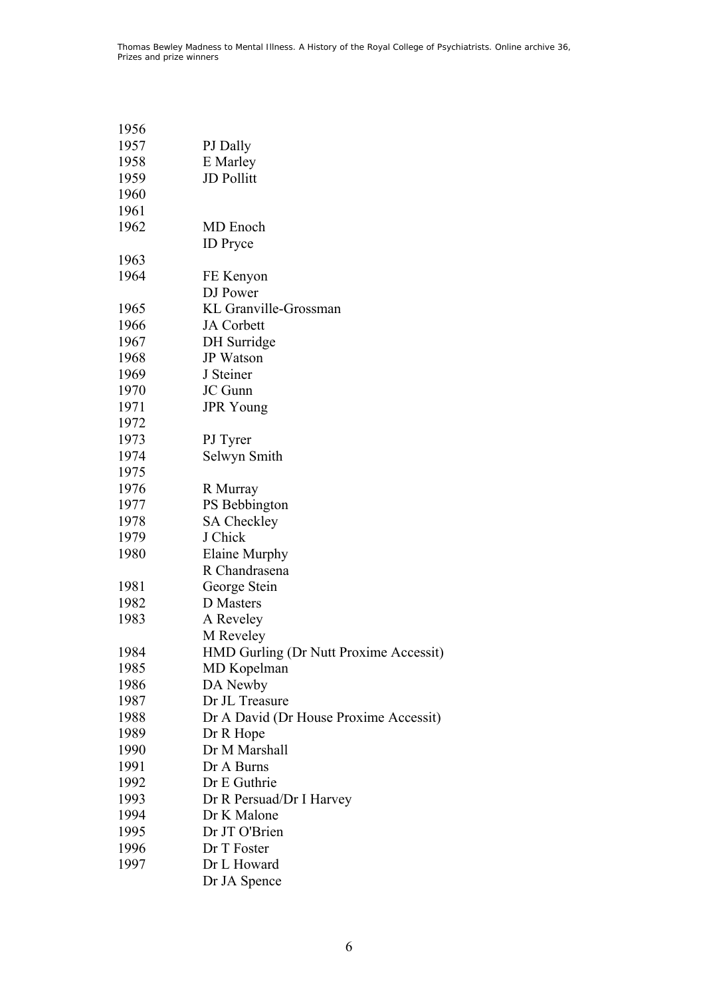| 1956 |                                        |
|------|----------------------------------------|
| 1957 | PJ Dally                               |
| 1958 | E Marley                               |
| 1959 | <b>JD</b> Pollitt                      |
| 1960 |                                        |
| 1961 |                                        |
| 1962 | MD Enoch                               |
|      | <b>ID</b> Pryce                        |
| 1963 |                                        |
| 1964 | FE Kenyon                              |
|      | DJ Power                               |
| 1965 | KL Granville-Grossman                  |
| 1966 | <b>JA</b> Corbett                      |
| 1967 | DH Surridge                            |
| 1968 | <b>JP</b> Watson                       |
| 1969 | J Steiner                              |
| 1970 | JC Gunn                                |
| 1971 | <b>JPR</b> Young                       |
| 1972 |                                        |
| 1973 | PJ Tyrer                               |
| 1974 | Selwyn Smith                           |
| 1975 |                                        |
| 1976 | R Murray                               |
| 1977 | PS Bebbington                          |
| 1978 | <b>SA Checkley</b>                     |
| 1979 | J Chick                                |
| 1980 | Elaine Murphy                          |
|      | R Chandrasena                          |
| 1981 | George Stein                           |
| 1982 | <b>D</b> Masters                       |
| 1983 | A Reveley                              |
|      | M Reveley                              |
| 1984 | HMD Gurling (Dr Nutt Proxime Accessit) |
| 1985 | MD Kopelman                            |
| 1986 | DA Newby                               |
| 1987 | Dr JL Treasure                         |
| 1988 | Dr A David (Dr House Proxime Accessit) |
| 1989 | Dr R Hope                              |
| 1990 | Dr M Marshall                          |
| 1991 | Dr A Burns                             |
| 1992 | Dr E Guthrie                           |
| 1993 | Dr R Persuad/Dr I Harvey               |
| 1994 | Dr K Malone                            |
| 1995 | Dr JT O'Brien                          |
| 1996 | Dr T Foster                            |
| 1997 | Dr L Howard                            |

Dr JA Spence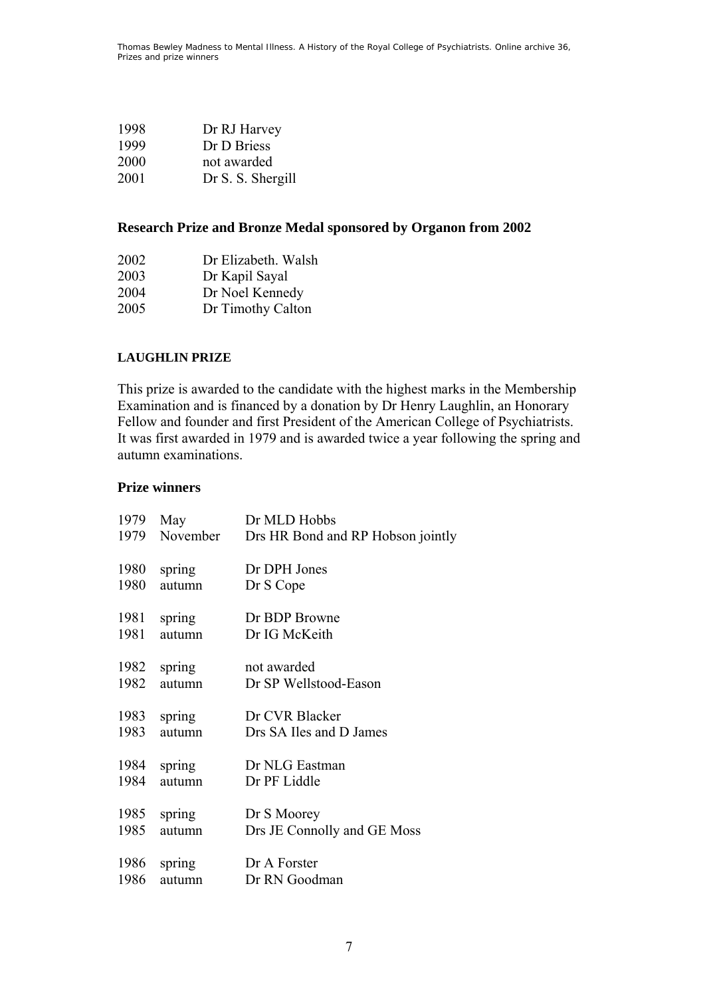| 1998 | Dr RJ Harvey      |
|------|-------------------|
| 1999 | Dr D Briess       |
| 2000 | not awarded       |
| 2001 | Dr S. S. Shergill |

# **Research Prize and Bronze Medal sponsored by Organon from 2002**

| 2002 | Dr Elizabeth. Walsh |
|------|---------------------|
| 2003 | Dr Kapil Sayal      |
| 2004 | Dr Noel Kennedy     |
| 2005 | Dr Timothy Calton   |

# **LAUGHLIN PRIZE**

This prize is awarded to the candidate with the highest marks in the Membership Examination and is financed by a donation by Dr Henry Laughlin, an Honorary Fellow and founder and first President of the American College of Psychiatrists. It was first awarded in 1979 and is awarded twice a year following the spring and autumn examinations.

# **Prize winners**

| 1979 | May      | Dr MLD Hobbs                      |
|------|----------|-----------------------------------|
| 1979 | November | Drs HR Bond and RP Hobson jointly |
| 1980 | spring   | Dr DPH Jones                      |
| 1980 | autumn   | Dr S Cope                         |
| 1981 | spring   | Dr BDP Browne                     |
| 1981 | autumn   | Dr IG McKeith                     |
| 1982 | spring   | not awarded                       |
| 1982 | autumn   | Dr SP Wellstood-Eason             |
| 1983 | spring   | Dr CVR Blacker                    |
| 1983 | autumn   | Drs SA Iles and D James           |
| 1984 | spring   | Dr NLG Eastman                    |
| 1984 | autumn   | Dr PF Liddle                      |
| 1985 | spring   | Dr S Moorey                       |
| 1985 | autumn   | Drs JE Connolly and GE Moss       |
| 1986 | spring   | Dr A Forster                      |
| 1986 | autumn   | Dr RN Goodman                     |
|      |          |                                   |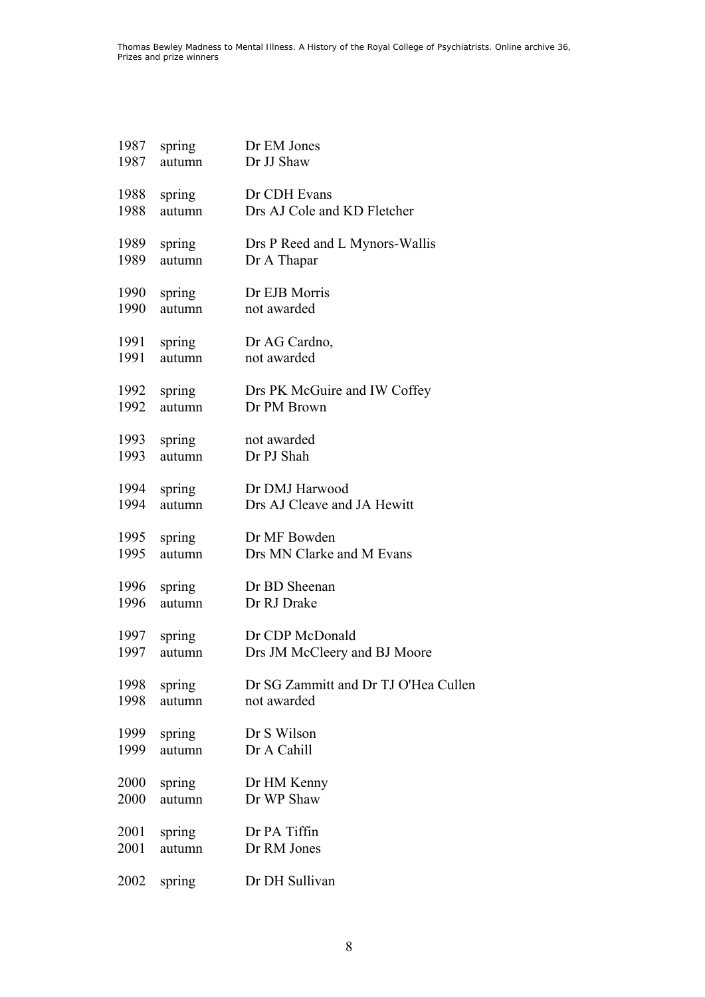| 1987         | spring           | Dr EM Jones                                 |
|--------------|------------------|---------------------------------------------|
| 1987         | autumn           | Dr JJ Shaw                                  |
| 1988         | spring           | Dr CDH Evans                                |
| 1988         | autumn           | Drs AJ Cole and KD Fletcher                 |
| 1989         | spring           | Drs P Reed and L Mynors-Wallis              |
| 1989         | autumn           | Dr A Thapar                                 |
| 1990         | spring           | Dr EJB Morris                               |
| 1990         | autumn           | not awarded                                 |
| 1991         | spring           | Dr AG Cardno,                               |
| 1991         | autumn           | not awarded                                 |
| 1992         | spring           | Drs PK McGuire and IW Coffey<br>Dr PM Brown |
| 1992<br>1993 | autumn<br>spring | not awarded                                 |
| 1993         | autumn           | Dr PJ Shah                                  |
| 1994         | spring           | Dr DMJ Harwood                              |
| 1994         | autumn           | Drs AJ Cleave and JA Hewitt                 |
| 1995         | spring           | Dr MF Bowden                                |
| 1995         | autumn           | Drs MN Clarke and M Evans                   |
| 1996         | spring           | Dr BD Sheenan                               |
| 1996         | autumn           | Dr RJ Drake                                 |
| 1997         | spring           | Dr CDP McDonald                             |
| 1997         | autumn           | Drs JM McCleery and BJ Moore                |
| 1998         | spring           | Dr SG Zammitt and Dr TJ O'Hea Cullen        |
| 1998         | autumn           | not awarded                                 |
| 1999         | spring           | Dr S Wilson                                 |
| 1999         | autumn           | Dr A Cahill                                 |
| 2000         | spring           | Dr HM Kenny                                 |
| 2000         | autumn           | Dr WP Shaw                                  |
| 2001         | spring           | Dr PA Tiffin                                |
| 2001         | autumn           | Dr RM Jones                                 |
| 2002         | spring           | Dr DH Sullivan                              |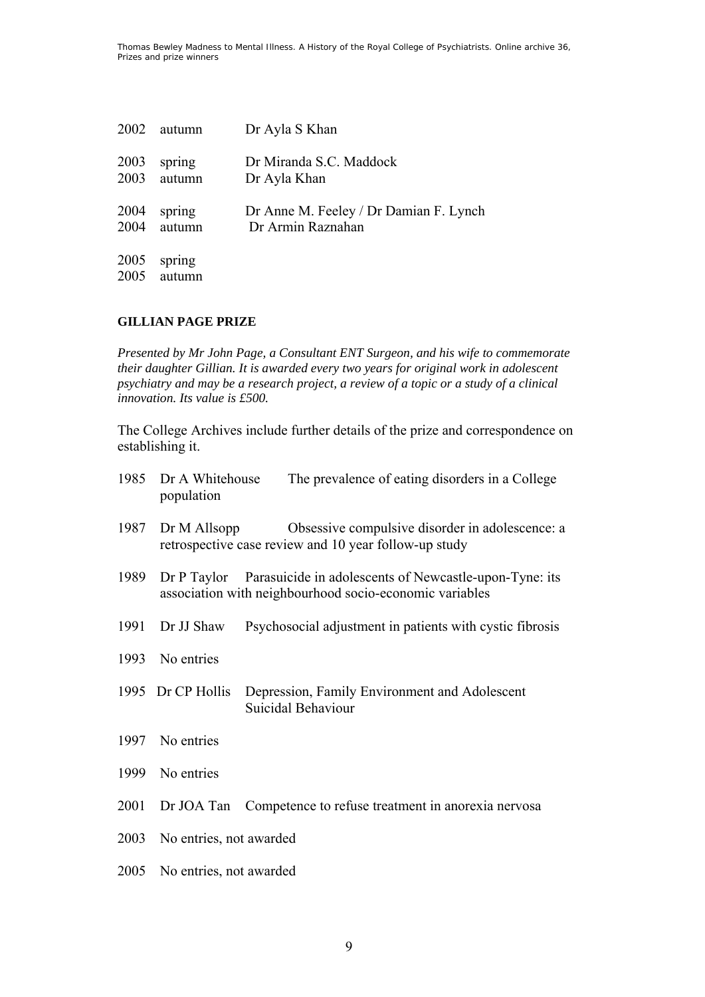| 2002         | autumn           | Dr Ayla S Khan                         |
|--------------|------------------|----------------------------------------|
| 2003         | spring           | Dr Miranda S.C. Maddock                |
| 2003         | autumn           | Dr Ayla Khan                           |
| 2004         | spring           | Dr Anne M. Feeley / Dr Damian F. Lynch |
| 2004         | autumn           | Dr Armin Raznahan                      |
| 2005<br>2005 | spring<br>autumn |                                        |

# **GILLIAN PAGE PRIZE**

*Presented by Mr John Page, a Consultant ENT Surgeon, and his wife to commemorate their daughter Gillian. It is awarded every two years for original work in adolescent psychiatry and may be a research project, a review of a topic or a study of a clinical innovation. Its value is £500.* 

The College Archives include further details of the prize and correspondence on establishing it.

| 1985 | Dr A Whitehouse<br>population | The prevalence of eating disorders in a College                                                                               |
|------|-------------------------------|-------------------------------------------------------------------------------------------------------------------------------|
| 1987 | Dr M Allsopp                  | Obsessive compulsive disorder in adolescence: a<br>retrospective case review and 10 year follow-up study                      |
| 1989 |                               | Dr P Taylor Parasuicide in adolescents of Newcastle-upon-Tyne: its<br>association with neighbourhood socio-economic variables |
| 1991 | Dr JJ Shaw                    | Psychosocial adjustment in patients with cystic fibrosis                                                                      |
| 1993 | No entries                    |                                                                                                                               |
|      | 1995 Dr CP Hollis             | Depression, Family Environment and Adolescent<br>Suicidal Behaviour                                                           |
| 1997 | No entries                    |                                                                                                                               |
| 1999 | No entries                    |                                                                                                                               |
| 2001 |                               | Dr JOA Tan Competence to refuse treatment in anorexia nervosa                                                                 |
| 2003 | No entries, not awarded       |                                                                                                                               |
| 2005 | No entries, not awarded       |                                                                                                                               |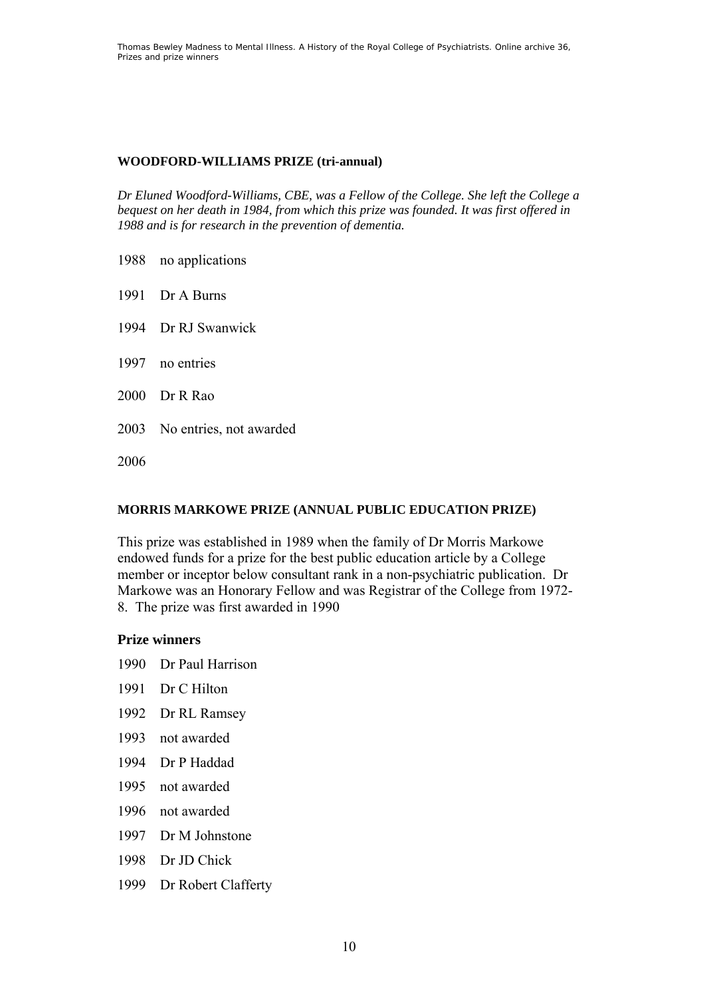# **WOODFORD-WILLIAMS PRIZE (tri-annual)**

*Dr Eluned Woodford-Williams, CBE, was a Fellow of the College. She left the College a bequest on her death in 1984, from which this prize was founded. It was first offered in 1988 and is for research in the prevention of dementia.* 

- 1988 no applications
- 1991 Dr A Burns
- 1994 Dr RJ Swanwick
- 1997 no entries
- 2000 Dr R Rao
- 2003 No entries, not awarded

2006

### **MORRIS MARKOWE PRIZE (ANNUAL PUBLIC EDUCATION PRIZE)**

This prize was established in 1989 when the family of Dr Morris Markowe endowed funds for a prize for the best public education article by a College member or inceptor below consultant rank in a non-psychiatric publication. Dr Markowe was an Honorary Fellow and was Registrar of the College from 1972- 8. The prize was first awarded in 1990

#### **Prize winners**

- 1990 Dr Paul Harrison
- 1991 Dr C Hilton
- 1992 Dr RL Ramsey
- 1993 not awarded
- 1994 Dr P Haddad
- 1995 not awarded
- 1996 not awarded
- 1997 Dr M Johnstone
- 1998 Dr JD Chick
- 1999 Dr Robert Clafferty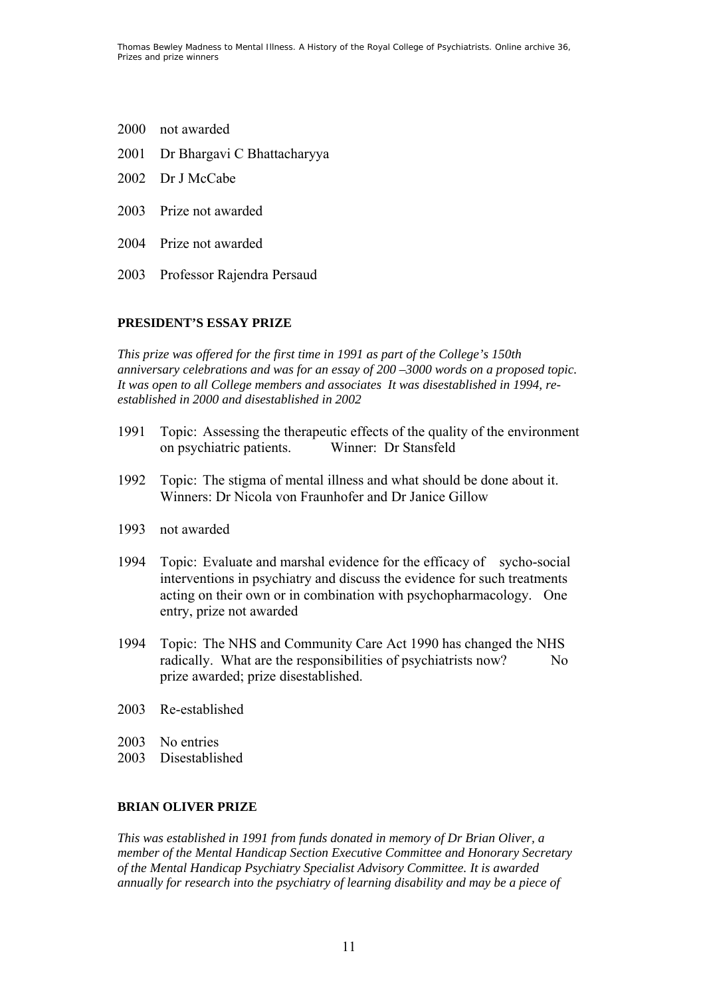- 2000 not awarded
- 2001 Dr Bhargavi C Bhattacharyya
- 2002 Dr J McCabe
- 2003 Prize not awarded
- 2004 Prize not awarded
- 2003 Professor Rajendra Persaud

#### **PRESIDENT'S ESSAY PRIZE**

*This prize was offered for the first time in 1991 as part of the College's 150th anniversary celebrations and was for an essay of 200 –3000 words on a proposed topic. It was open to all College members and associates It was disestablished in 1994, reestablished in 2000 and disestablished in 2002* 

- 1991 Topic: Assessing the therapeutic effects of the quality of the environment on psychiatric patients. Winner: Dr Stansfeld
- 1992 Topic: The stigma of mental illness and what should be done about it. Winners: Dr Nicola von Fraunhofer and Dr Janice Gillow
- 1993 not awarded
- 1994 Topic: Evaluate and marshal evidence for the efficacy of sycho-social interventions in psychiatry and discuss the evidence for such treatments acting on their own or in combination with psychopharmacology. One entry, prize not awarded
- 1994 Topic: The NHS and Community Care Act 1990 has changed the NHS radically. What are the responsibilities of psychiatrists now? No prize awarded; prize disestablished.
- 2003 Re-established
- 2003 No entries
- 2003 Disestablished

#### **BRIAN OLIVER PRIZE**

*This was established in 1991 from funds donated in memory of Dr Brian Oliver, a member of the Mental Handicap Section Executive Committee and Honorary Secretary of the Mental Handicap Psychiatry Specialist Advisory Committee. It is awarded annually for research into the psychiatry of learning disability and may be a piece of*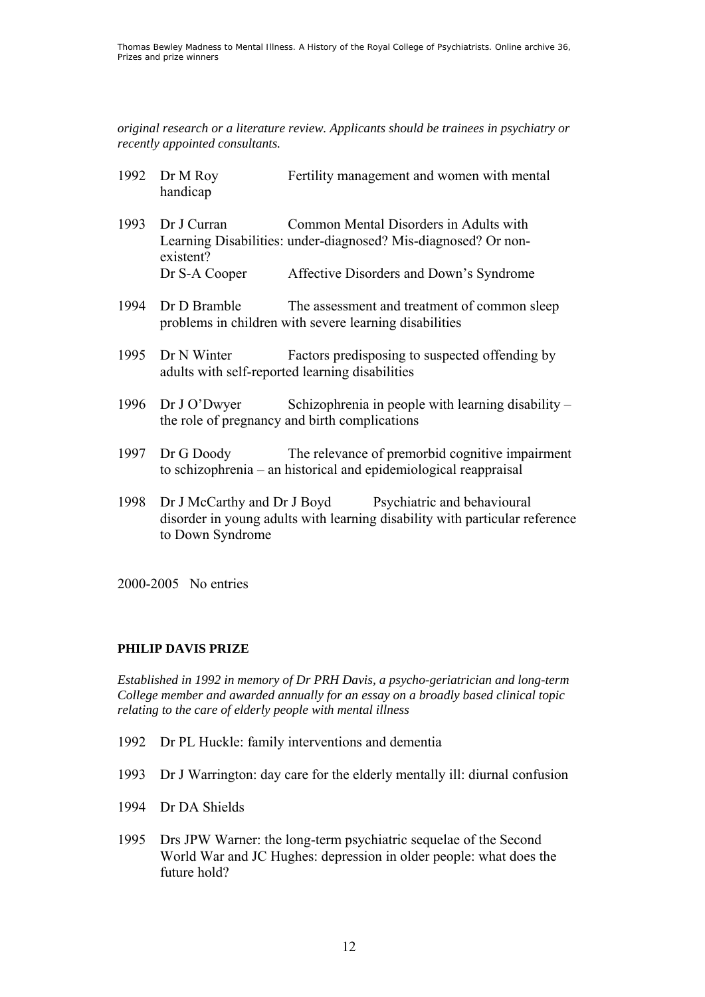*original research or a literature review. Applicants should be trainees in psychiatry or recently appointed consultants.* 

- 1992 Dr M Roy Fertility management and women with mental handicap
- 1993 Dr J Curran Common Mental Disorders in Adults with Learning Disabilities: under-diagnosed? Mis-diagnosed? Or nonexistent? Dr S-A Cooper Affective Disorders and Down's Syndrome
- 1994 Dr D Bramble The assessment and treatment of common sleep problems in children with severe learning disabilities
- 1995 Dr N Winter Factors predisposing to suspected offending by adults with self-reported learning disabilities
- 1996 Dr J O'Dwyer Schizophrenia in people with learning disability the role of pregnancy and birth complications
- 1997 Dr G Doody The relevance of premorbid cognitive impairment to schizophrenia – an historical and epidemiological reappraisal
- 1998 Dr J McCarthy and Dr J Boyd Psychiatric and behavioural disorder in young adults with learning disability with particular reference to Down Syndrome

2000-2005 No entries

### **PHILIP DAVIS PRIZE**

*Established in 1992 in memory of Dr PRH Davis, a psycho-geriatrician and long-term College member and awarded annually for an essay on a broadly based clinical topic relating to the care of elderly people with mental illness* 

- 1992 Dr PL Huckle: family interventions and dementia
- 1993 Dr J Warrington: day care for the elderly mentally ill: diurnal confusion
- 1994 Dr DA Shields
- 1995 Drs JPW Warner: the long-term psychiatric sequelae of the Second World War and JC Hughes: depression in older people: what does the future hold?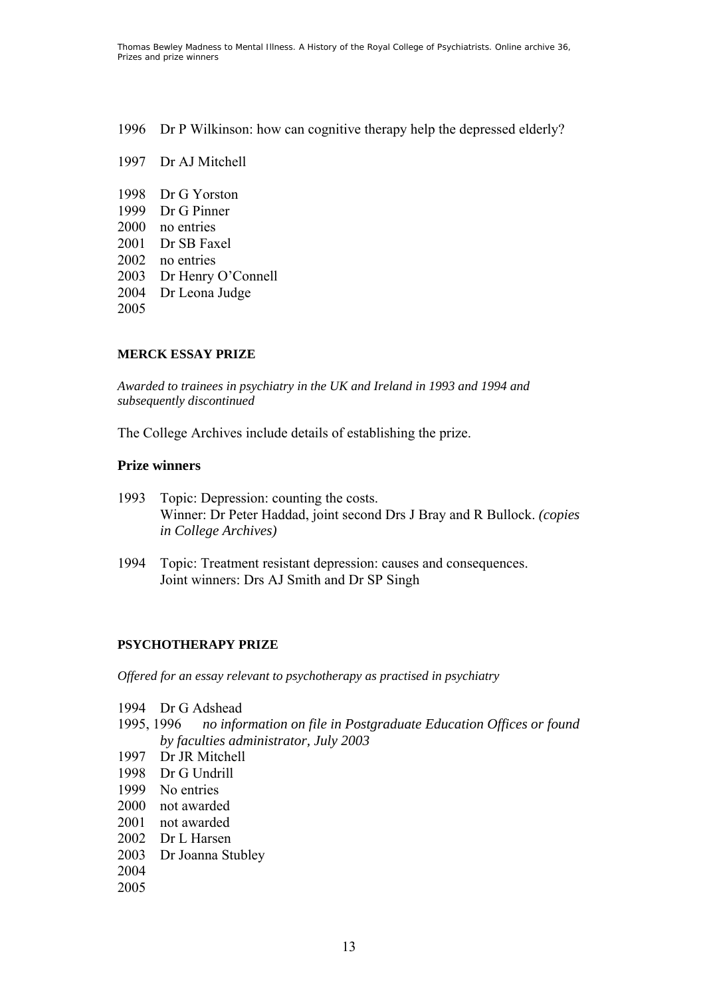1996 Dr P Wilkinson: how can cognitive therapy help the depressed elderly?

- 1997 Dr AJ Mitchell
- 1998 Dr G Yorston 1999 Dr G Pinner 2000 no entries 2001 Dr SB Faxel 2002 no entries 2003 Dr Henry O'Connell 2004 Dr Leona Judge

2005

### **MERCK ESSAY PRIZE**

*Awarded to trainees in psychiatry in the UK and Ireland in 1993 and 1994 and subsequently discontinued* 

The College Archives include details of establishing the prize.

#### **Prize winners**

- 1993 Topic: Depression: counting the costs. Winner: Dr Peter Haddad, joint second Drs J Bray and R Bullock. *(copies in College Archives)*
- 1994 Topic: Treatment resistant depression: causes and consequences. Joint winners: Drs AJ Smith and Dr SP Singh

### **PSYCHOTHERAPY PRIZE**

*Offered for an essay relevant to psychotherapy as practised in psychiatry* 

- 1994 Dr G Adshead
- 1995, 1996 *no information on file in Postgraduate Education Offices or found by faculties administrator, July 2003*
- 1997 Dr JR Mitchell
- 1998 Dr G Undrill
- 1999 No entries
- 2000 not awarded
- 2001 not awarded
- 2002 Dr L Harsen
- 2003 Dr Joanna Stubley
- 2004
- 2005